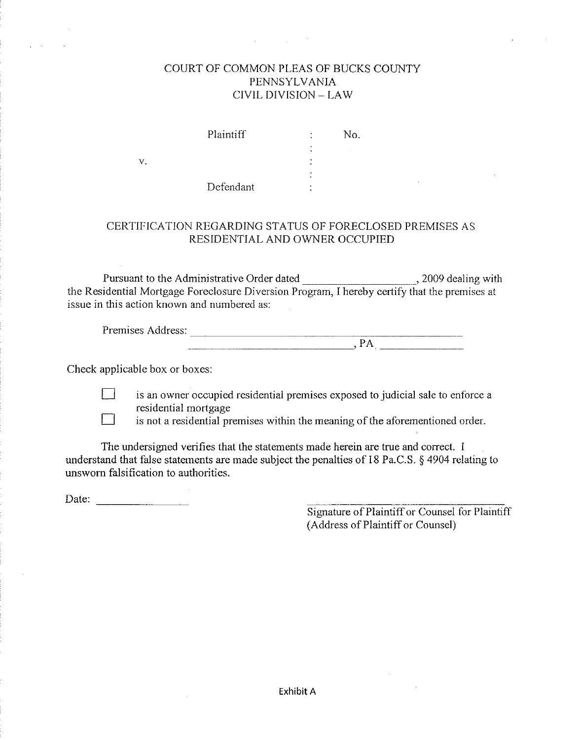### COURT OF COMMON PLEAS OF BUCKS COUNTY PENNSYLVANIA CIVIL DIVISION - LAW

Plaintiff  $\ddot{\cdot}$ No.  $\sim 10^{-1}$ Defendant

### CERTIFICATION REGARDING STATUS OF FORECLOSED PREMISES AS RESIDENTIAL AND OWNER OCCUPIED

issue in this action known and numbered as:

| ∽<br>$\sim$<br>.<br>۲T<br>ves<br>д.<br>$\cdots$<br>∽. |  |
|-------------------------------------------------------|--|
|                                                       |  |

Check applicable box or boxes:

 $V<sub>1</sub>$ 



is an owner occupied residential premises exposed to judicial sale to enforce a residential mortgage

is not a residential premises within the meaning of the aforementioned order.

The undersigned verifies that the statements made herein are true and correct. I understand that false statements are made subject the penalties of 18 Pa.C.S. § 4904 relating to unsworn falsification to authorities.

Signature of Plaintiff or Counsel for Plaintiff (Address of Plaintiff or Counsel)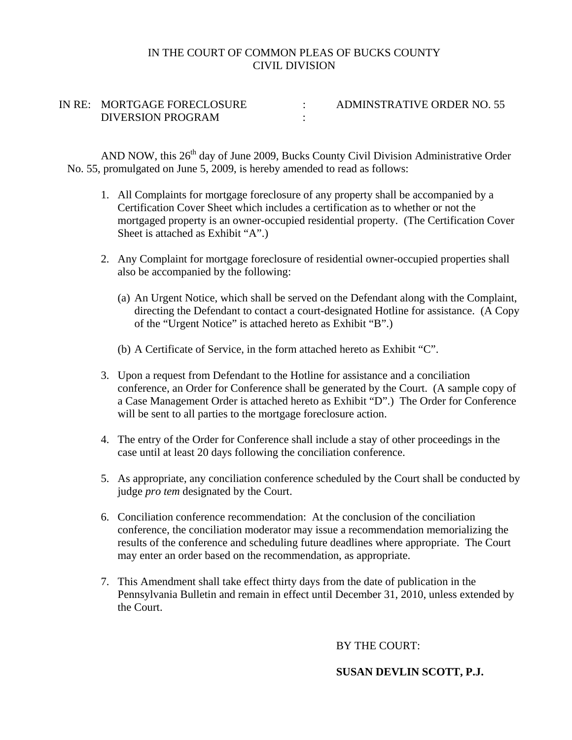#### IN THE COURT OF COMMON PLEAS OF BUCKS COUNTY CIVIL DIVISION

IN RE: MORTGAGE FORECLOSURE : ADMINSTRATIVE ORDER NO. 55 DIVERSION PROGRAM :

AND NOW, this 26<sup>th</sup> day of June 2009, Bucks County Civil Division Administrative Order No. 55, promulgated on June 5, 2009, is hereby amended to read as follows:

- 1. All Complaints for mortgage foreclosure of any property shall be accompanied by a Certification Cover Sheet which includes a certification as to whether or not the mortgaged property is an owner-occupied residential property. (The Certification Cover Sheet is attached as Exhibit "A".)
- 2. Any Complaint for mortgage foreclosure of residential owner-occupied properties shall also be accompanied by the following:
	- (a) An Urgent Notice, which shall be served on the Defendant along with the Complaint, directing the Defendant to contact a court-designated Hotline for assistance. (A Copy of the "Urgent Notice" is attached hereto as Exhibit "B".)
	- (b) A Certificate of Service, in the form attached hereto as Exhibit "C".
- 3. Upon a request from Defendant to the Hotline for assistance and a conciliation conference, an Order for Conference shall be generated by the Court. (A sample copy of a Case Management Order is attached hereto as Exhibit "D".) The Order for Conference will be sent to all parties to the mortgage foreclosure action.
- 4. The entry of the Order for Conference shall include a stay of other proceedings in the case until at least 20 days following the conciliation conference.
- 5. As appropriate, any conciliation conference scheduled by the Court shall be conducted by judge *pro tem* designated by the Court.
- 6. Conciliation conference recommendation: At the conclusion of the conciliation conference, the conciliation moderator may issue a recommendation memorializing the results of the conference and scheduling future deadlines where appropriate. The Court may enter an order based on the recommendation, as appropriate.
- 7. This Amendment shall take effect thirty days from the date of publication in the Pennsylvania Bulletin and remain in effect until December 31, 2010, unless extended by the Court.

BY THE COURT:

### **SUSAN DEVLIN SCOTT, P.J.**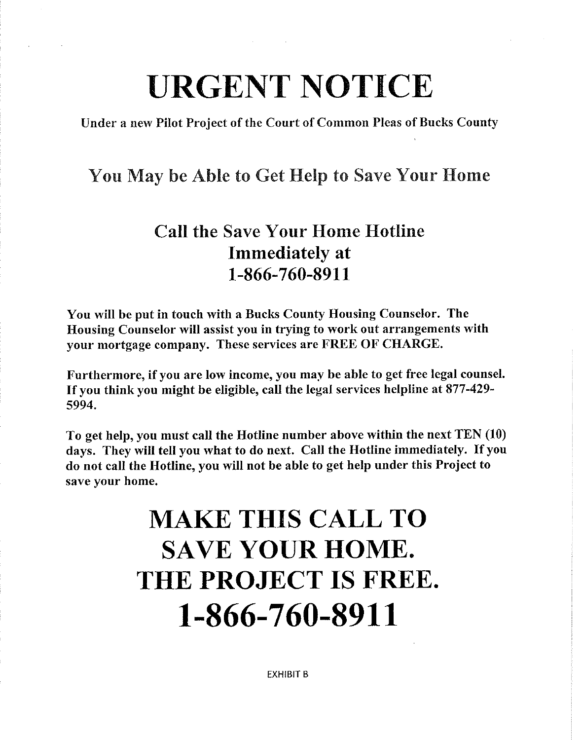# **URGENT NOTICE**

Under a new Pilot Project of the Court of Common Pleas of Bucks County

### You May be Able to Get Help to Save Your Home

### **Call the Save Your Home Hotline Immediately** at 1-866-760-8911

You will be put in touch with a Bucks County Housing Counselor. The Housing Counselor will assist you in trying to work out arrangements with your mortgage company. These services are FREE OF CHARGE.

Furthermore, if you are low income, you may be able to get free legal counsel. If you think you might be eligible, call the legal services helpline at 877-429-5994.

To get help, you must call the Hotline number above within the next TEN (10) days. They will tell you what to do next. Call the Hotline immediately. If you do not call the Hotline, you will not be able to get help under this Project to save your home.

## **MAKE THIS CALL TO SAVE YOUR HOME.** THE PROJECT IS FREE. 1-866-760-8911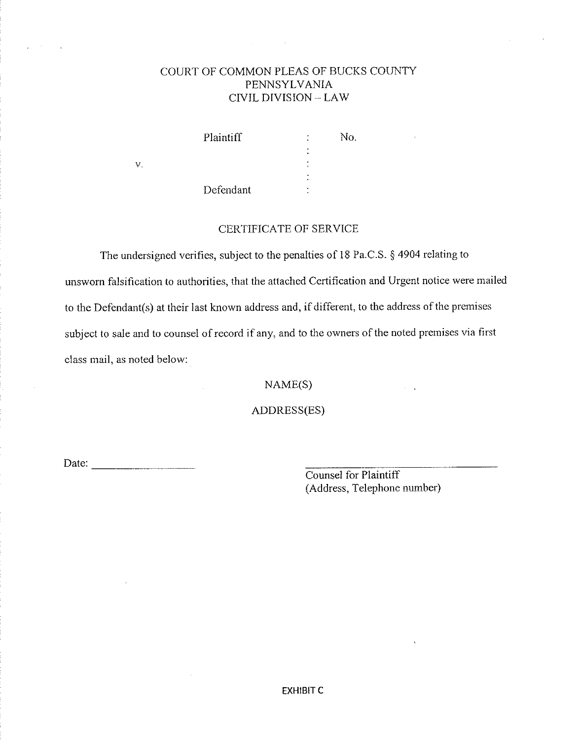### COURT OF COMMON PLEAS OF BUCKS COUNTY PENNSYLVANIA CIVIL DIVISION - LAW

 $\ddot{\cdot}$ 

No.

Plaintiff

Defendant

### **CERTIFICATE OF SERVICE**

The undersigned verifies, subject to the penalties of 18 Pa.C.S. § 4904 relating to unsworn falsification to authorities, that the attached Certification and Urgent notice were mailed to the Defendant(s) at their last known address and, if different, to the address of the premises subject to sale and to counsel of record if any, and to the owners of the noted premises via first class mail, as noted below:

 $NAME(S)$ 

ADDRESS(ES)

 $V$ .

Counsel for Plaintiff (Address, Telephone number)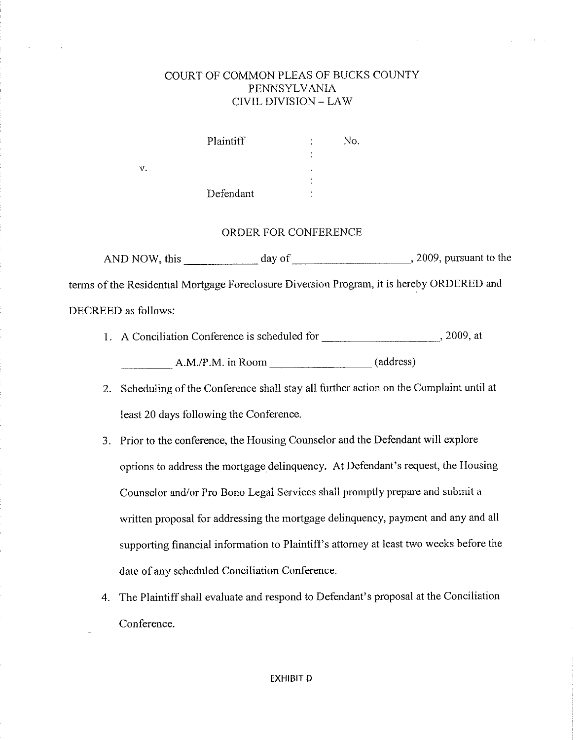### COURT OF COMMON PLEAS OF BUCKS COUNTY **PENNSYLVANIA CIVIL DIVISION - LAW**

| Plaintiff | ٠      | No. |
|-----------|--------|-----|
|           | ٠<br>٠ |     |
|           | ٠<br>۰ |     |
|           | ٠      |     |
| Defendant | ٠      |     |

 $\dot{\mathbf{V}}$ 

#### ORDER FOR CONFERENCE

terms of the Residential Mortgage Foreclosure Diversion Program, it is hereby ORDERED and DECREED as follows:

- 1. A Conciliation Conference is scheduled for \_\_\_\_\_\_\_\_\_\_\_\_\_\_\_\_\_\_\_\_\_\_\_\_\_\_\_\_\_\_\_\_\_\_, 2009, at A.M./P.M. in Room (address)
- 2. Scheduling of the Conference shall stay all further action on the Complaint until at least 20 days following the Conference.
- 3. Prior to the conference, the Housing Counselor and the Defendant will explore options to address the mortgage delinquency. At Defendant's request, the Housing Counselor and/or Pro Bono Legal Services shall promptly prepare and submit a written proposal for addressing the mortgage delinquency, payment and any and all supporting financial information to Plaintiff's attorney at least two weeks before the date of any scheduled Conciliation Conference.
- 4. The Plaintiff shall evaluate and respond to Defendant's proposal at the Conciliation Conference.